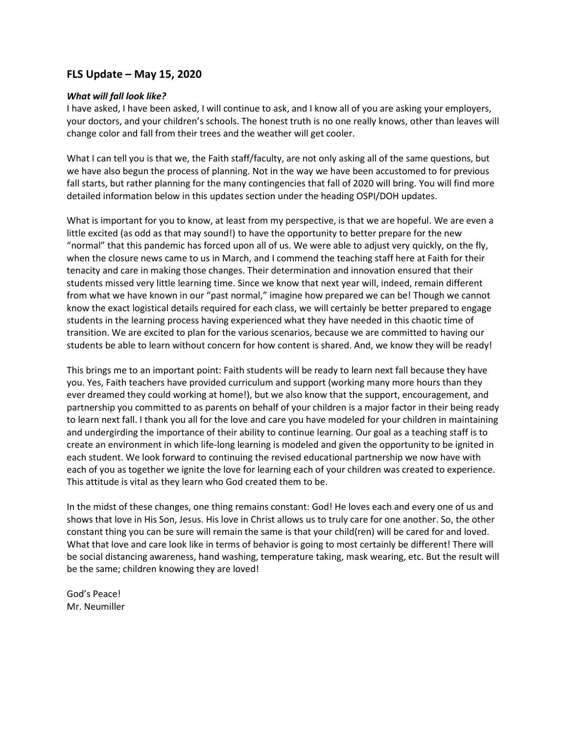## **FLS Update – May 15, 2020**

#### *What will fall look like?*

I have asked, I have been asked, I will continue to ask, and I know all of you are asking your employers, your doctors, and your children's schools. The honest truth is no one really knows, other than leaves will change color and fall from their trees and the weather will get cooler.

What I can tell you is that we, the Faith staff/faculty, are not only asking all of the same questions, but we have also begun the process of planning. Not in the way we have been accustomed to for previous fall starts, but rather planning for the many contingencies that fall of 2020 will bring. You will find more detailed information below in this updates section under the heading OSPI/DOH updates.

What is important for you to know, at least from my perspective, is that we are hopeful. We are even a little excited (as odd as that may sound!) to have the opportunity to better prepare for the new "normal" that this pandemic has forced upon all of us. We were able to adjust very quickly, on the fly, when the closure news came to us in March, and I commend the teaching staff here at Faith for their tenacity and care in making those changes. Their determination and innovation ensured that their students missed very little learning time. Since we know that next year will, indeed, remain different from what we have known in our "past normal," imagine how prepared we can be! Though we cannot know the exact logistical details required for each class, we will certainly be better prepared to engage students in the learning process having experienced what they have needed in this chaotic time of transition. We are excited to plan for the various scenarios, because we are committed to having our students be able to learn without concern for how content is shared. And, we know they will be ready!

This brings me to an important point: Faith students will be ready to learn next fall because they have you. Yes, Faith teachers have provided curriculum and support (working many more hours than they ever dreamed they could working at home!), but we also know that the support, encouragement, and partnership you committed to as parents on behalf of your children is a major factor in their being ready to learn next fall. I thank you all for the love and care you have modeled for your children in maintaining and undergirding the importance of their ability to continue learning. Our goal as a teaching staff is to create an environment in which life-long learning is modeled and given the opportunity to be ignited in each student. We look forward to continuing the revised educational partnership we now have with each of you as together we ignite the love for learning each of your children was created to experience. This attitude is vital as they learn who God created them to be.

In the midst of these changes, one thing remains constant: God! He loves each and every one of us and shows that love in His Son, Jesus. His love in Christ allows us to truly care for one another. So, the other constant thing you can be sure will remain the same is that your child(ren) will be cared for and loved. What that love and care look like in terms of behavior is going to most certainly be different! There will be social distancing awareness, hand washing, temperature taking, mask wearing, etc. But the result will be the same; children knowing they are loved!

God's Peace! Mr. Neumiller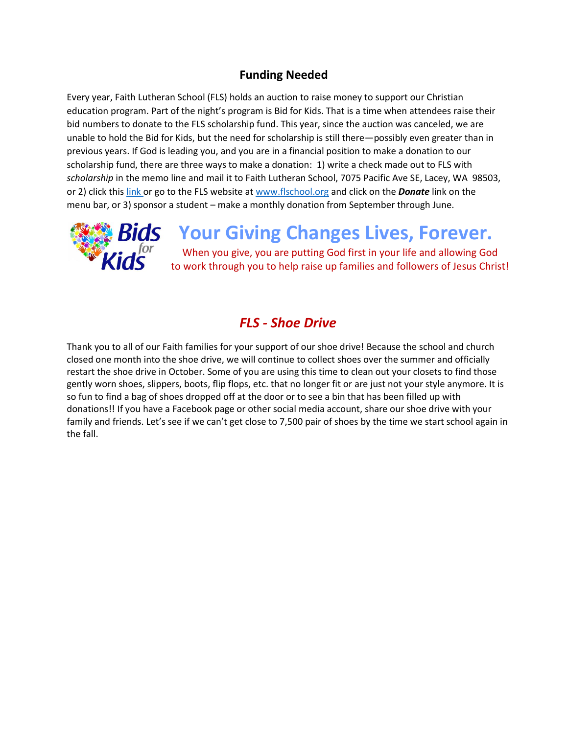## **Funding Needed**

Every year, Faith Lutheran School (FLS) holds an auction to raise money to support our Christian education program. Part of the night's program is Bid for Kids. That is a time when attendees raise their bid numbers to donate to the FLS scholarship fund. This year, since the auction was canceled, we are unable to hold the Bid for Kids, but the need for scholarship is still there—possibly even greater than in previous years. If God is leading you, and you are in a financial position to make a donation to our scholarship fund, there are three ways to make a donation: 1) write a check made out to FLS with *scholarship* in the memo line and mail it to Faith Lutheran School, 7075 Pacific Ave SE, Lacey, WA 98503, or 2) click this [link o](https://faithlutheranlacey.ejoinme.org/MyPages/DonationPage/tabid/1107017/Default.aspx)r go to the FLS website a[t www.flschool.org](http://www.flschool.org/) and click on the *Donate* link on the menu bar, or 3) sponsor a student – make a monthly donation from September through June.



# **Your Giving Changes Lives, Forever.**

When you give, you are putting God first in your life and allowing God to work through you to help raise up families and followers of Jesus Christ!

# *FLS - Shoe Drive*

Thank you to all of our Faith families for your support of our shoe drive! Because the school and church closed one month into the shoe drive, we will continue to collect shoes over the summer and officially restart the shoe drive in October. Some of you are using this time to clean out your closets to find those gently worn shoes, slippers, boots, flip flops, etc. that no longer fit or are just not your style anymore. It is so fun to find a bag of shoes dropped off at the door or to see a bin that has been filled up with donations!! If you have a Facebook page or other social media account, share our shoe drive with your family and friends. Let's see if we can't get close to 7,500 pair of shoes by the time we start school again in the fall.